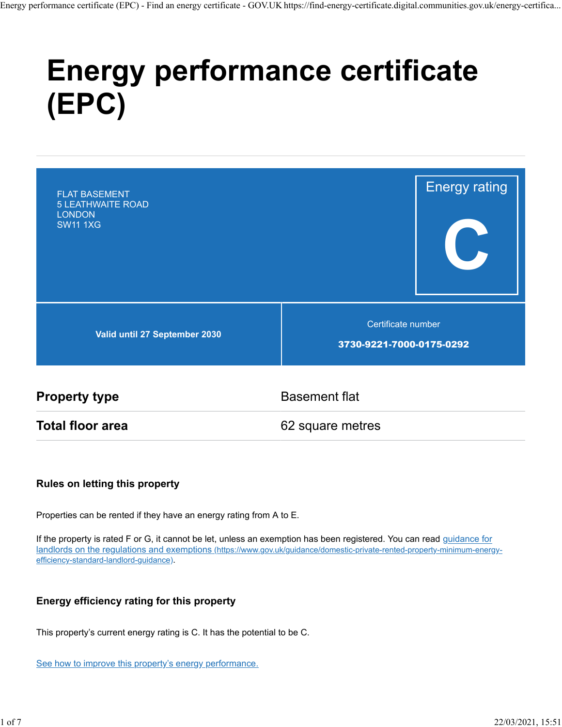# **Energy performance certificate (EPC)**

| <b>FLAT BASEMENT</b><br><b>5 LEATHWAITE ROAD</b><br><b>LONDON</b><br><b>SW11 1XG</b> | <b>Energy rating</b>                           |  |
|--------------------------------------------------------------------------------------|------------------------------------------------|--|
| Valid until 27 September 2030                                                        | Certificate number<br>3730-9221-7000-0175-0292 |  |

**Property type** Basement flat

**Total floor area** 62 square metres

#### **Rules on letting this property**

Properties can be rented if they have an energy rating from A to E.

If the property is rated F or G, it cannot be let, unless an exemption has been registered. You can read guidance for landlords on the regulations and exemptions (https://www.gov.uk/guidance/domestic-private-rented-property-minimum-energyefficiency-standard-landlord-guidance).

#### **Energy efficiency rating for this property**

This property's current energy rating is C. It has the potential to be C.

See how to improve this property's energy performance.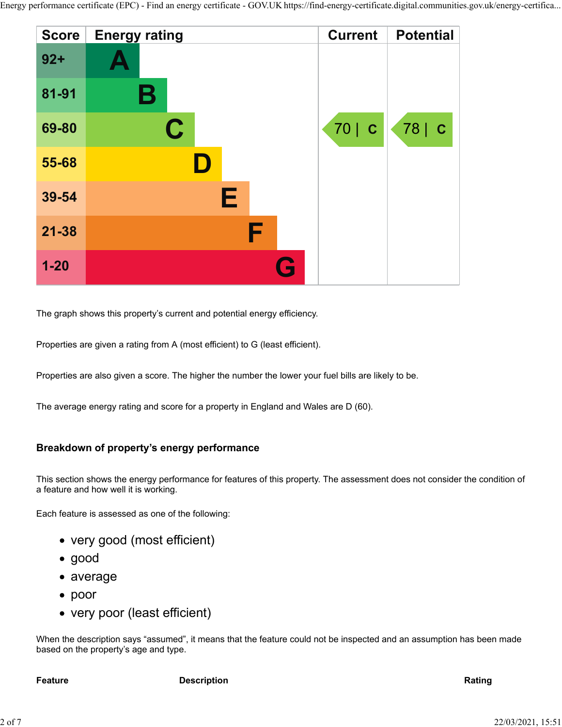

The graph shows this property's current and potential energy efficiency.

Properties are given a rating from A (most efficient) to G (least efficient).

Properties are also given a score. The higher the number the lower your fuel bills are likely to be.

The average energy rating and score for a property in England and Wales are D (60).

#### **Breakdown of property's energy performance**

This section shows the energy performance for features of this property. The assessment does not consider the condition of a feature and how well it is working.

Each feature is assessed as one of the following:

- very good (most efficient)
- good
- average
- poor
- very poor (least efficient)

When the description says "assumed", it means that the feature could not be inspected and an assumption has been made based on the property's age and type.

**Feature Description Rating**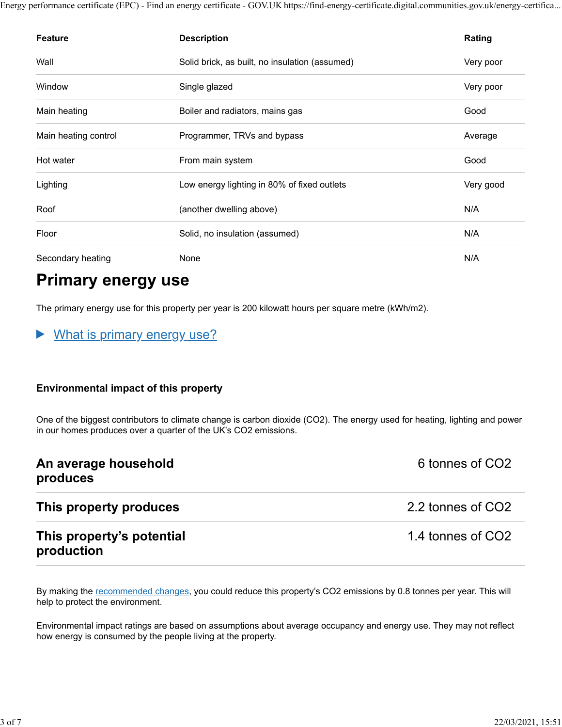| <b>Feature</b>       | <b>Description</b>                             | Rating    |
|----------------------|------------------------------------------------|-----------|
| Wall                 | Solid brick, as built, no insulation (assumed) | Very poor |
| Window               | Single glazed                                  | Very poor |
| Main heating         | Boiler and radiators, mains gas                | Good      |
| Main heating control | Programmer, TRVs and bypass                    | Average   |
| Hot water            | From main system                               | Good      |
| Lighting             | Low energy lighting in 80% of fixed outlets    | Very good |
| Roof                 | (another dwelling above)                       | N/A       |
| Floor                | Solid, no insulation (assumed)                 | N/A       |
| Secondary heating    | None                                           | N/A       |

# **Primary energy use**

The primary energy use for this property per year is 200 kilowatt hours per square metre (kWh/m2).

#### What is primary energy use?  $\blacktriangleright$

#### **Environmental impact of this property**

One of the biggest contributors to climate change is carbon dioxide (CO2). The energy used for heating, lighting and power in our homes produces over a quarter of the UK's CO2 emissions.

| An average household<br>produces        | 6 tonnes of CO2   |
|-----------------------------------------|-------------------|
| This property produces                  | 2.2 tonnes of CO2 |
| This property's potential<br>production | 1.4 tonnes of CO2 |

By making the recommended changes, you could reduce this property's CO2 emissions by 0.8 tonnes per year. This will help to protect the environment.

Environmental impact ratings are based on assumptions about average occupancy and energy use. They may not reflect how energy is consumed by the people living at the property.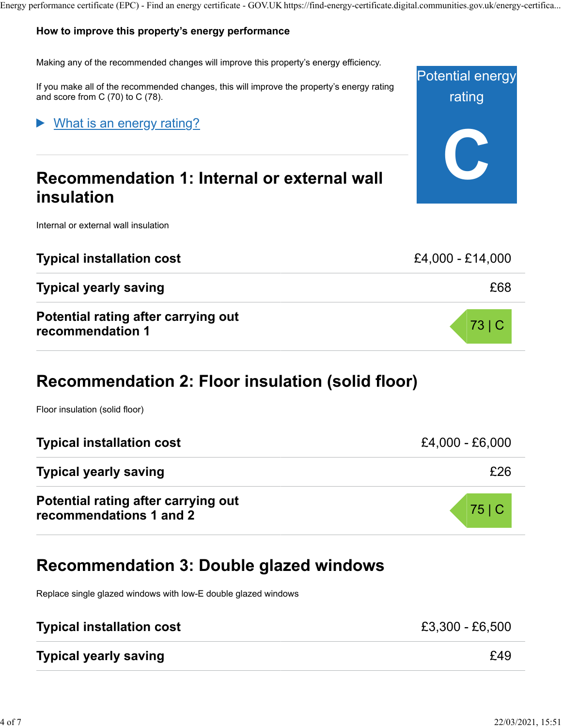#### **How to improve this property's energy performance**

Making any of the recommended changes will improve this property's energy efficiency.

If you make all of the recommended changes, this will improve the property's energy rating and score from C (70) to C (78).

#### What is an energy rating?

# **Recommendation 1: Internal or external wall insulation**

Internal or external wall insulation

| <b>Typical installation cost</b>                        | £4,000 - £14,000 |
|---------------------------------------------------------|------------------|
| <b>Typical yearly saving</b>                            | £68              |
| Potential rating after carrying out<br>recommendation 1 | 73 C             |

# **Recommendation 2: Floor insulation (solid floor)**

Floor insulation (solid floor)

| <b>Typical installation cost</b>                               | $£4,000 - £6,000$ |
|----------------------------------------------------------------|-------------------|
| <b>Typical yearly saving</b>                                   | £26               |
| Potential rating after carrying out<br>recommendations 1 and 2 | 75 C              |

# **Recommendation 3: Double glazed windows**

Replace single glazed windows with low-E double glazed windows

| <b>Typical installation cost</b> | £3,300 - £6,500 |
|----------------------------------|-----------------|
| <b>Typical yearly saving</b>     | £49             |

Potential energy

rating

**C**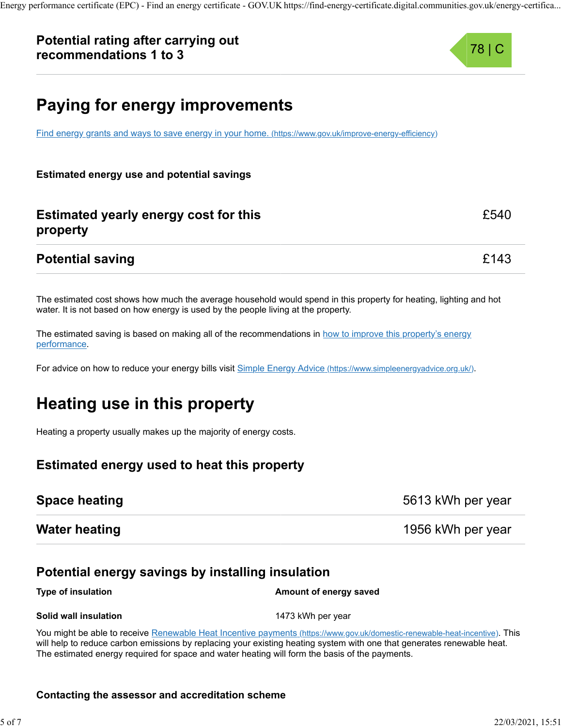### **Potential rating after carrying out recommendations 1 to 3**



£540

# **Paying for energy improvements**

Find energy grants and ways to save energy in your home. (https://www.gov.uk/improve-energy-efficiency)

**Estimated energy use and potential savings**

### **Estimated yearly energy cost for this property**

#### **Potential saving Example 20143**

The estimated cost shows how much the average household would spend in this property for heating, lighting and hot water. It is not based on how energy is used by the people living at the property.

The estimated saving is based on making all of the recommendations in how to improve this property's energy performance.

For advice on how to reduce your energy bills visit Simple Energy Advice (https://www.simpleenergyadvice.org.uk/).

# **Heating use in this property**

Heating a property usually makes up the majority of energy costs.

#### **Estimated energy used to heat this property**

| <b>Space heating</b> | 5613 kWh per year |  |
|----------------------|-------------------|--|
| <b>Water heating</b> | 1956 kWh per year |  |

#### **Potential energy savings by installing insulation**

**Type of insulation Amount of energy saved** 

**Solid wall insulation** 1473 kWh per year

You might be able to receive Renewable Heat Incentive payments (https://www.gov.uk/domestic-renewable-heat-incentive). This will help to reduce carbon emissions by replacing your existing heating system with one that generates renewable heat. The estimated energy required for space and water heating will form the basis of the payments.

#### **Contacting the assessor and accreditation scheme**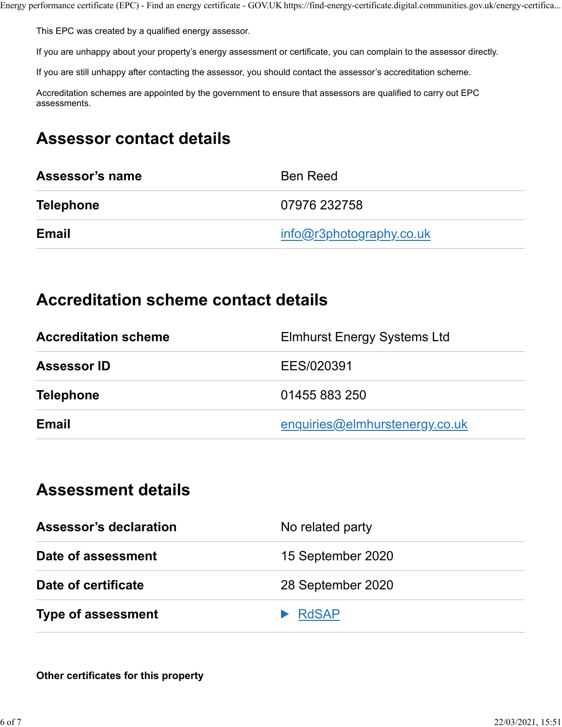This EPC was created by a qualified energy assessor.

If you are unhappy about your property's energy assessment or certificate, you can complain to the assessor directly.

If you are still unhappy after contacting the assessor, you should contact the assessor's accreditation scheme.

Accreditation schemes are appointed by the government to ensure that assessors are qualified to carry out EPC assessments.

# **Assessor contact details**

| Assessor's name  | <b>Ben Reed</b>          |
|------------------|--------------------------|
| <b>Telephone</b> | 07976 232758             |
| Email            | info@r3photography.co.uk |

## **Accreditation scheme contact details**

| <b>Accreditation scheme</b> | <b>Elmhurst Energy Systems Ltd</b> |
|-----------------------------|------------------------------------|
| <b>Assessor ID</b>          | EES/020391                         |
| <b>Telephone</b>            | 01455 883 250                      |
| <b>Email</b>                | enquiries@elmhurstenergy.co.uk     |

# **Assessment details**

| <b>Assessor's declaration</b> | No related party  |
|-------------------------------|-------------------|
| Date of assessment            | 15 September 2020 |
| Date of certificate           | 28 September 2020 |
| <b>Type of assessment</b>     | <b>RdSAP</b>      |